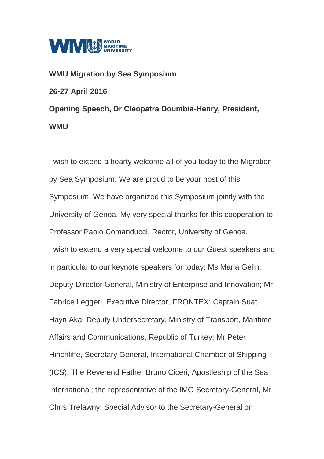

## **WMU Migration by Sea Symposium 26-27 April 2016 Opening Speech, Dr Cleopatra Doumbia-Henry, President, WMU**

I wish to extend a hearty welcome all of you today to the Migration by Sea Symposium. We are proud to be your host of this Symposium. We have organized this Symposium jointly with the University of Genoa. My very special thanks for this cooperation to Professor Paolo Comanducci, Rector, University of Genoa. I wish to extend a very special welcome to our Guest speakers and in particular to our keynote speakers for today: Ms Maria Gelin, Deputy-Director General, Ministry of Enterprise and Innovation; Mr Fabrice Leggeri, Executive Director, FRONTEX; Captain Suat Hayri Aka, Deputy Undersecretary, Ministry of Transport, Maritime Affairs and Communications, Republic of Turkey; Mr Peter Hinchliffe, Secretary General, International Chamber of Shipping (ICS); The Reverend Father Bruno Ciceri, Apostleship of the Sea International; the representative of the IMO Secretary-General, Mr Chris Trelawny, Special Advisor to the Secretary-General on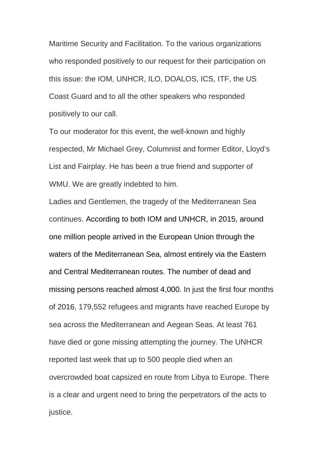Maritime Security and Facilitation. To the various organizations who responded positively to our request for their participation on this issue: the IOM, UNHCR, ILO, DOALOS, ICS, ITF, the US Coast Guard and to all the other speakers who responded positively to our call.

To our moderator for this event, the well-known and highly respected, Mr Michael Grey, Columnist and former Editor, Lloyd's List and Fairplay. He has been a true friend and supporter of WMU. We are greatly indebted to him.

Ladies and Gentlemen, the tragedy of the Mediterranean Sea continues. According to both IOM and UNHCR, in 2015, around one million people arrived in the European Union through the waters of the Mediterranean Sea, almost entirely via the Eastern and Central Mediterranean routes. The number of dead and missing persons reached almost 4,000. In just the first four months of 2016, 179,552 refugees and migrants have reached Europe by sea across the Mediterranean and Aegean Seas. At least 761 have died or gone missing attempting the journey. The UNHCR reported last week that up to 500 people died when an overcrowded boat capsized en route from Libya to Europe. There is a clear and urgent need to bring the perpetrators of the acts to justice.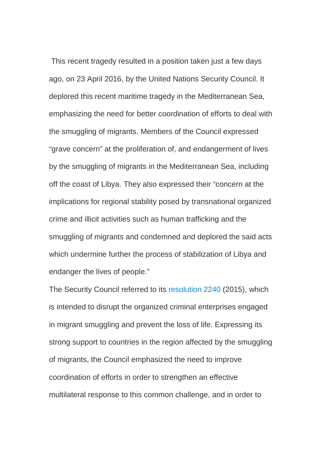This recent tragedy resulted in a position taken just a few days ago, on 23 April 2016, by the United Nations Security Council. It deplored this recent maritime tragedy in the Mediterranean Sea, emphasizing the need for better coordination of efforts to deal with the smuggling of migrants. Members of the Council expressed "grave concern" at the proliferation of, and endangerment of lives by the smuggling of migrants in the Mediterranean Sea, including off the coast of Libya. They also expressed their "concern at the implications for regional stability posed by transnational organized crime and illicit activities such as human trafficking and the smuggling of migrants and condemned and deplored the said acts which undermine further the process of stabilization of Libya and endanger the lives of people."

The Security Council referred to its [resolution 2240](http://www.un.org/en/ga/search/view_doc.asp?symbol=S/RES/2240(2015)) (2015), which is intended to disrupt the organized criminal enterprises engaged in migrant smuggling and prevent the loss of life. Expressing its strong support to countries in the region affected by the smuggling of migrants, the Council emphasized the need to improve coordination of efforts in order to strengthen an effective multilateral response to this common challenge, and in order to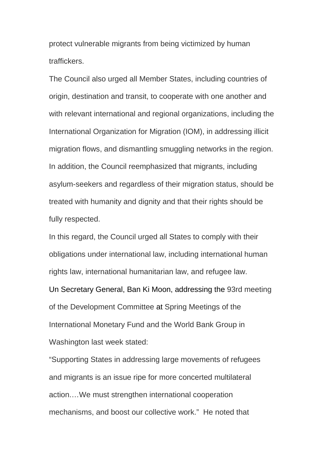protect vulnerable migrants from being victimized by human traffickers.

The Council also urged all Member States, including countries of origin, destination and transit, to cooperate with one another and with relevant international and regional organizations, including the International Organization for Migration (IOM), in addressing illicit migration flows, and dismantling smuggling networks in the region. In addition, the Council reemphasized that migrants, including asylum-seekers and regardless of their migration status, should be treated with humanity and dignity and that their rights should be fully respected.

In this regard, the Council urged all States to comply with their obligations under international law, including international human rights law, international humanitarian law, and refugee law. Un Secretary General, Ban Ki Moon, addressing the 93rd meeting of the Development Committee at Spring Meetings of the International Monetary Fund and the World Bank Group in Washington last week stated:

"Supporting States in addressing large movements of refugees and migrants is an issue ripe for more concerted multilateral action.…We must strengthen international cooperation mechanisms, and boost our collective work." He noted that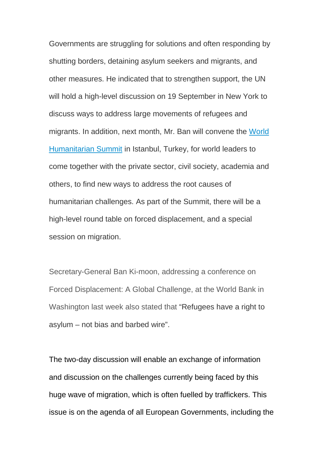Governments are struggling for solutions and often responding by shutting borders, detaining asylum seekers and migrants, and other measures. He indicated that to strengthen support, the UN will hold a high-level discussion on 19 September in New York to discuss ways to address large movements of refugees and migrants. In addition, next month, Mr. Ban will convene the [World](https://www.worldhumanitariansummit.org/)  [Humanitarian Summit](https://www.worldhumanitariansummit.org/) in Istanbul, Turkey, for world leaders to come together with the private sector, civil society, academia and others, to find new ways to address the root causes of humanitarian challenges. As part of the Summit, there will be a high-level round table on forced displacement, and a special session on migration.

Secretary-General Ban Ki-moon, addressing a conference on Forced Displacement: A Global Challenge, at the World Bank in Washington last week also stated that "Refugees have a right to asylum – not bias and barbed wire".

The two-day discussion will enable an exchange of information and discussion on the challenges currently being faced by this huge wave of migration, which is often fuelled by traffickers. This issue is on the agenda of all European Governments, including the